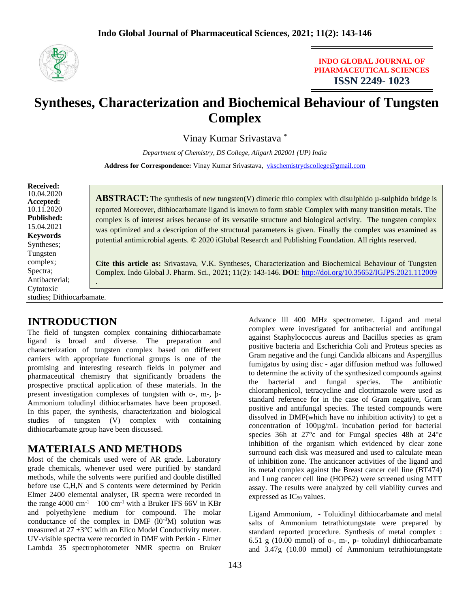

#### **INDO GLOBAL JOURNAL OF PHARMACEUTICAL SCIENCES ISSN 2249- 1023**

# **Syntheses, Characterization and Biochemical Behaviour of Tungsten Complex**

Vinay Kumar Srivastava \*

*Department of Chemistry, DS College, Aligarh 202001 (UP) India* Address for Correspondence: Vinay Kumar Srivastava, [vkschemistrydscollege@gmail.com](mailto:vkschemistrydscollege@gmail.com)

**Received:** 10.04.2020 **Accepted:**  10.11.2020 **Published:** 15.04.2021 **Keywords** Syntheses; Tungsten complex; Spectra; Antibacterial; Cytotoxic studies; Dithiocarbamate.

**ABSTRACT:** The synthesis of new tungsten(V) dimeric thio complex with disulphido  $\mu$ -sulphido bridge is reported Moreover, dithiocarbamate ligand is known to form stable Complex with many transition metals. The complex is of interest arises because of its versatile structure and biological activity. The tungsten complex was optimized and a description of the structural parameters is given. Finally the complex was examined as potential antimicrobial agents. © 2020 iGlobal Research and Publishing Foundation. All rights reserved.

**Cite this article as:** Srivastava, V.K. Syntheses, Characterization and Biochemical Behaviour of Tungsten Complex. Indo Global J. Pharm. Sci., 2021; 11(2): 143-146. **DOI**: <http://doi.org/10.35652/IGJPS.2021.112009> .

# **INTRODUCTION**

The field of tungsten complex containing dithiocarbamate ligand is broad and diverse. The preparation and characterization of tungsten complex based on different carriers with appropriate functional groups is one of the promising and interesting research fields in polymer and pharmaceutical chemistry that significantly broadens the prospective practical application of these materials. In the present investigation complexes of tungsten with o-, m-, þ-Ammonium toludinyl dithiocarbamates have been proposed. In this paper, the synthesis, characterization and biological studies of tungsten (V) complex with containing dithiocarbamate group have been discussed.

## **MATERIALS AND METHODS**

Most of the chemicals used were of AR grade. Laboratory grade chemicals, whenever used were purified by standard methods, while the solvents were purified and double distilled before use C,H,N and S contents were determined by Perkin Elmer 2400 elemental analyser, IR spectra were recorded in the range 4000 cm<sup>-1</sup> – 100 cm<sup>-1</sup> with a Bruker IFS 66V in KBr and polyethylene medium for compound. The molar conductance of the complex in DMF  $(10^{-3}M)$  solution was measured at 27 ±3°C with an Elico Model Conductivity meter. UV-visible spectra were recorded in DMF with Perkin - Elmer Lambda 35 spectrophotometer NMR spectra on Bruker

Advance lll 400 MHz spectrometer. Ligand and metal complex were investigated for antibacterial and antifungal against Staphylococcus aureus and Bacillus species as gram positive bacteria and Escherichia Coli and Proteus species as Gram negative and the fungi Candida albicans and Aspergillus fumigatus by using disc - agar diffusion method was followed to determine the activity of the synthesized compounds against the bacterial and fungal species. The antibiotic chloramphenicol, tetracycline and clotrimazole were used as standard reference for in the case of Gram negative, Gram positive and antifungal species. The tested compounds were dissolved in DMF(which have no inhibition activity) to get a concentration of 100µg/mL incubation period for bacterial species 36h at 27°c and for Fungal species 48h at 24°c inhibition of the organism which evidenced by clear zone surround each disk was measured and used to calculate mean of inhibition zone. The anticancer activities of the ligand and its metal complex against the Breast cancer cell line (BT474) and Lung cancer cell line (HOP62) were screened using MTT assay. The results were analyzed by cell viability curves and expressed as  $IC_{50}$  values.

Ligand Ammonium, - Toluidinyl dithiocarbamate and metal salts of Ammonium tetrathiotungstate were prepared by standard reported procedure. Synthesis of metal complex : 6.51 g (10.00 mmol) of o-, m-, p- toludinyl dithiocarbamate and 3.47g (10.00 mmol) of Ammonium tetrathiotungstate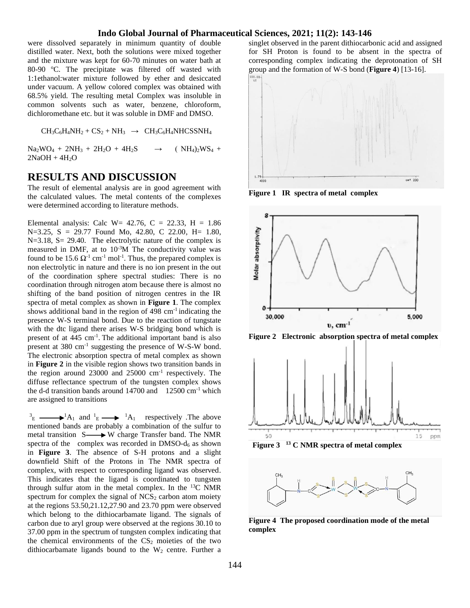#### **Indo Global Journal of Pharmaceutical Sciences, 2021; 11(2): 143-146**

were dissolved separately in minimum quantity of double distilled water. Next, both the solutions were mixed together and the mixture was kept for 60-70 minutes on water bath at 80-90 °C. The precipitate was filtered off wasted with 1:1ethanol:water mixture followed by ether and desiccated under vacuum. A yellow colored complex was obtained with 68.5% yield. The resulting metal Complex was insoluble in common solvents such as water, benzene, chloroform, dichloromethane etc. but it was soluble in DMF and DMSO.

 $CH_3C_6H_4NH_2 + CS_2 + NH_3 \rightarrow CH_3C_6H_4NHCSSNH_4$ 

 $Na_2WO_4 + 2NH_3 + 2H_2O + 4H_2S \rightarrow (NH_4)_2WS_4 +$  $2NaOH + 4H<sub>2</sub>O$ 

## **RESULTS AND DISCUSSION**

The result of elemental analysis are in good agreement with the calculated values. The metal contents of the complexes were determined according to literature methods.

Elemental analysis: Calc W= 42.76, C = 22.33, H = 1.86 N=3.25, S = 29.77 Found Mo, 42.80, C 22.00, H= 1.80, N=3.18, S= 29.40. The electrolytic nature of the complex is measured in DMF, at to 10-3M The conductivity value was found to be 15.6  $\Omega$ <sup>-1</sup> cm<sup>-1</sup> mol<sup>-1</sup>. Thus, the prepared complex is non electrolytic in nature and there is no ion present in the out of the coordination sphere spectral studies: There is no coordination through nitrogen atom because there is almost no shifting of the band position of nitrogen centres in the IR spectra of metal complex as shown in **Figure 1**. The complex shows additional band in the region of 498 cm-1 indicating the presence W-S terminal bond. Due to the reaction of tungstate with the dtc ligand there arises W-S bridging bond which is present of at 445 cm<sup>-1</sup>. The additional important band is also present at  $380 \text{ cm}^{-1}$  suggesting the presence of W-S-W bond. The electronic absorption spectra of metal complex as shown in **Figure 2** in the visible region shows two transition bands in the region around 23000 and 25000 cm-1 respectively. The diffuse reflectance spectrum of the tungsten complex shows the d-d transition bands around  $14700$  and  $12500$  cm<sup>-1</sup> which are assigned to transitions

 ${}^{3}E \longrightarrow {}^{1}A_{1}$  and  ${}^{1}E \longrightarrow {}^{1}A_{1}$  respectively . The above mentioned bands are probably a combination of the sulfur to metal transition  $S \longrightarrow W$  charge Transfer band. The NMR spectra of the complex was recorded in DMSO- $d_6$  as shown in **Figure 3**. The absence of S-H protons and a slight downfield Shift of the Protons in The NMR spectra of complex, with respect to corresponding ligand was observed. This indicates that the ligand is coordinated to tungsten through sulfur atom in the metal complex. In the <sup>13</sup>C NMR spectrum for complex the signal of  $NCS<sub>2</sub>$  carbon atom moiety at the regions 53.50,21.12,27.90 and 23.70 ppm were observed which belong to the dithiocarbamate ligand. The signals of carbon due to aryl group were observed at the regions 30.10 to 37.00 ppm in the spectrum of tungsten complex indicating that the chemical environments of the  $CS<sub>2</sub>$  moieties of the two dithiocarbamate ligands bound to the  $W_2$  centre. Further a

singlet observed in the parent dithiocarbonic acid and assigned for SH Proton is found to be absent in the spectra of corresponding complex indicating the deprotonation of SH group and the formation of W-S bond (**Figure 4**) [13-16].



**Figure 1 IR spectra of metal complex**



**Figure 2 Electronic absorption spectra of metal complex**



 **Figure 3 <sup>13</sup> C NMR spectra of metal complex**



**Figure 4 The proposed coordination mode of the metal complex**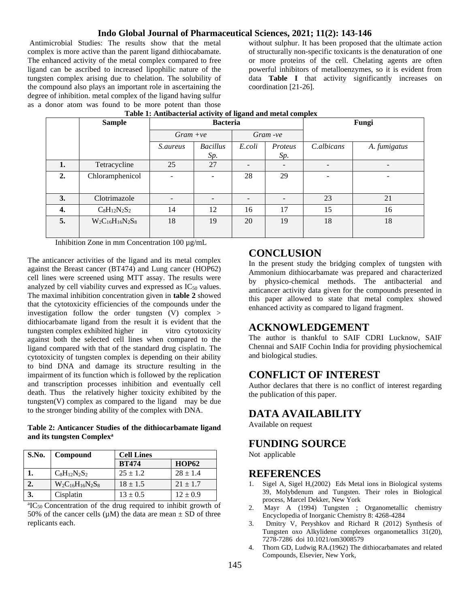#### **Indo Global Journal of Pharmaceutical Sciences, 2021; 11(2): 143-146**

Antimicrobial Studies: The results show that the metal complex is more active than the parent ligand dithiocabamate. The enhanced activity of the metal complex compared to free ligand can be ascribed to increased lipophilic nature of the tungsten complex arising due to chelation. The solubility of the compound also plays an important role in ascertaining the degree of inhibition. metal complex of the ligand having sulfur as a donor atom was found to be more potent than those

without sulphur. It has been proposed that the ultimate action of structurally non-specific toxicants is the denaturation of one or more proteins of the cell. Chelating agents are often powerful inhibitors of metalloenzymes, so it is evident from data **Table I** that activity significantly increases on coordination [21-26].

|    | <b>Sample</b>           | <b>Bacteria</b> |                           |        | Fungi   |            |              |
|----|-------------------------|-----------------|---------------------------|--------|---------|------------|--------------|
|    |                         |                 | $Gram -ve$<br>$Gram + ve$ |        |         |            |              |
|    |                         | <i>S.aureus</i> | <b>Bacillus</b>           | E.coli | Proteus | C.albicans | A. fumigatus |
|    |                         |                 | Sp.                       |        | Sp.     |            |              |
| 1. | Tetracycline            | 25              | 27                        |        |         |            |              |
| 2. | Chloramphenicol         |                 |                           | 28     | 29      |            |              |
| 3. | Clotrimazole            |                 |                           |        |         | 23         | 21           |
| 4. | $C_8H_{12}N_2S_2$       | 14              | 12                        | 16     | 17      | 15         | 16           |
| 5. | $W_2C_{16}H_{16}N_2S_8$ | 18              | 19                        | 20     | 19      | 18         | 18           |
|    |                         |                 |                           |        |         |            |              |

#### Table 1: Antibacterial activity of ligand and metal complex

Inhibition Zone in mm Concentration 100 µg/mL

The anticancer activities of the ligand and its metal complex against the Breast cancer (BT474) and Lung cancer (HOP62) cell lines were screened using MTT assay. The results were analyzed by cell viability curves and expressed as  $IC_{50}$  values. The maximal inhibition concentration given in **table 2** showed that the cytotoxicity efficiencies of the compounds under the investigation follow the order tungsten (V) complex > dithiocarbamate ligand from the result it is evident that the tungsten complex exhibited higher in vitro cytotoxicity against both the selected cell lines when compared to the ligand compared with that of the standard drug cisplatin. The cytotoxicity of tungsten complex is depending on their ability to bind DNA and damage its structure resulting in the impairment of its function which is followed by the replication and transcription processes inhibition and eventually cell death. Thus the relatively higher toxicity exhibited by the tungsten(V) complex as compared to the ligand may be due to the stronger binding ability of the complex with DNA.

**Table 2: Anticancer Studies of the dithiocarbamate ligand and its tungsten Complex<sup>a</sup>**

| S.No. | Compound                | <b>Cell Lines</b> |              |  |
|-------|-------------------------|-------------------|--------------|--|
|       |                         | <b>BT474</b>      | <b>HOP62</b> |  |
|       | $C_8H_{12}N_2S_2$       | $25 \pm 1.2$      | $28 \pm 1.4$ |  |
|       | $W_2C_{16}H_{16}N_2S_8$ | $18 \pm 1.5$      | $21 \pm 1.7$ |  |
| 3.    | Cisplatin               | $13 \pm 0.5$      | $12 \pm 0.9$ |  |

<sup>a</sup>IC<sub>50</sub> Concentration of the drug required to inhibit growth of 50% of the cancer cells ( $\mu$ M) the data are mean  $\pm$  SD of three replicants each.

## **CONCLUSION**

In the present study the bridging complex of tungsten with Ammonium dithiocarbamate was prepared and characterized by physico-chemical methods. The antibacterial and anticancer activity data given for the compounds presented in this paper allowed to state that metal complex showed enhanced activity as compared to ligand fragment.

## **ACKNOWLEDGEMENT**

The author is thankful to SAIF CDRI Lucknow, SAIF Chennai and SAIF Cochin India for providing physiochemical and biological studies.

## **CONFLICT OF INTEREST**

Author declares that there is no conflict of interest regarding the publication of this paper.

## **DATA AVAILABILITY**

Available on request

## **FUNDING SOURCE**

Not applicable

#### **REFERENCES**

- 1. Sigel A, Sigel H,(2002) Eds Metal ions in Biological systems 39, Molybdenum and Tungsten. Their roles in Biological process, Marcel Dekker, New York
- 2. Mayr A (1994) Tungsten ; Organometallic chemistry Encyclopedia of Inorganic Chemistry 8: 4268-4284
- 3. Dmitry V, Peryshkov and Richard R (2012) Synthesis of Tungsten oxo Alkylidene complexes organometallics 31(20), 7278-7286 doi 10.1021/om3008579
- 4. Thorn GD, Ludwig RA.(1962) The dithiocarbamates and related Compounds, Elsevier, New York,